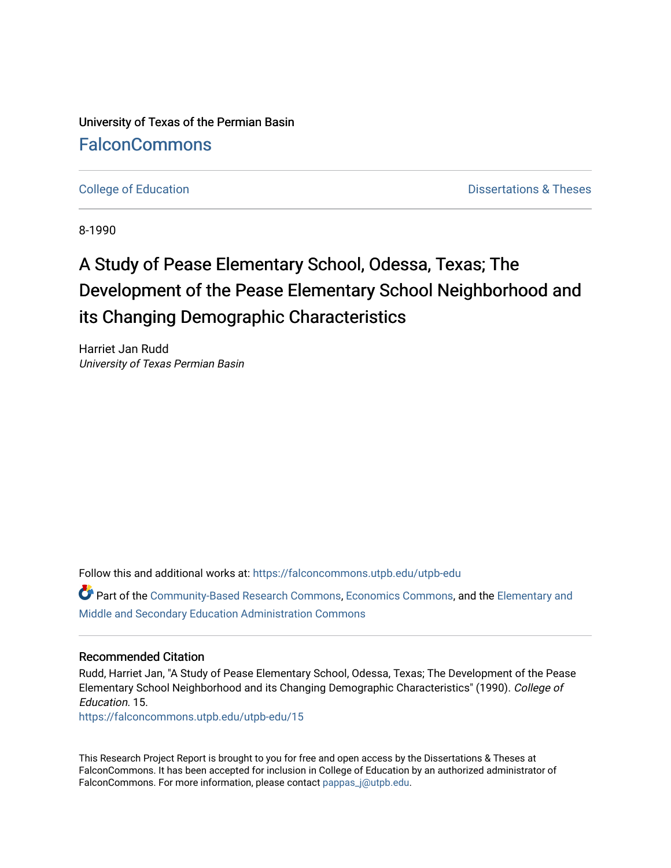University of Texas of the Permian Basin **[FalconCommons](https://falconcommons.utpb.edu/)** 

[College of Education](https://falconcommons.utpb.edu/utpb-edu) **Dissertations & Theses** 

8-1990

# A Study of Pease Elementary School, Odessa, Texas; The Development of the Pease Elementary School Neighborhood and its Changing Demographic Characteristics

Harriet Jan Rudd University of Texas Permian Basin

Follow this and additional works at: [https://falconcommons.utpb.edu/utpb-edu](https://falconcommons.utpb.edu/utpb-edu?utm_source=falconcommons.utpb.edu%2Futpb-edu%2F15&utm_medium=PDF&utm_campaign=PDFCoverPages) 

Part of the [Community-Based Research Commons](http://network.bepress.com/hgg/discipline/1047?utm_source=falconcommons.utpb.edu%2Futpb-edu%2F15&utm_medium=PDF&utm_campaign=PDFCoverPages), [Economics Commons,](http://network.bepress.com/hgg/discipline/340?utm_source=falconcommons.utpb.edu%2Futpb-edu%2F15&utm_medium=PDF&utm_campaign=PDFCoverPages) and the [Elementary and](http://network.bepress.com/hgg/discipline/790?utm_source=falconcommons.utpb.edu%2Futpb-edu%2F15&utm_medium=PDF&utm_campaign=PDFCoverPages)  [Middle and Secondary Education Administration Commons](http://network.bepress.com/hgg/discipline/790?utm_source=falconcommons.utpb.edu%2Futpb-edu%2F15&utm_medium=PDF&utm_campaign=PDFCoverPages) 

### Recommended Citation

Rudd, Harriet Jan, "A Study of Pease Elementary School, Odessa, Texas; The Development of the Pease Elementary School Neighborhood and its Changing Demographic Characteristics" (1990). College of Education. 15.

[https://falconcommons.utpb.edu/utpb-edu/15](https://falconcommons.utpb.edu/utpb-edu/15?utm_source=falconcommons.utpb.edu%2Futpb-edu%2F15&utm_medium=PDF&utm_campaign=PDFCoverPages)

This Research Project Report is brought to you for free and open access by the Dissertations & Theses at FalconCommons. It has been accepted for inclusion in College of Education by an authorized administrator of FalconCommons. For more information, please contact [pappas\\_j@utpb.edu.](mailto:pappas_j@utpb.edu)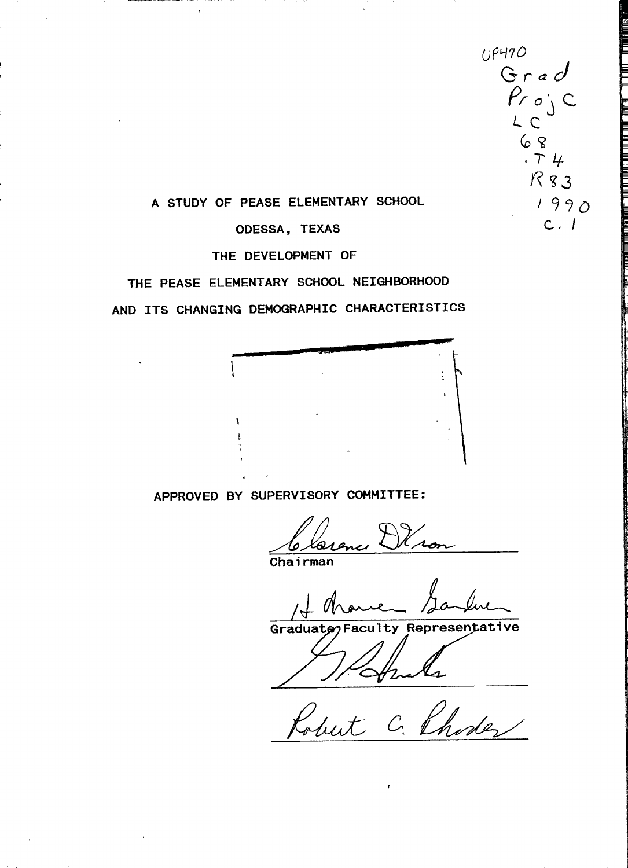$u^{p+70}$ <br>Grad  $P$ r o $\backslash$   $C$ *L* **(**  $68$ *H* **?3 ODESSA, TEXAS C. -** *I*  $.74$ 

### **A STUDY OF PEASE ELEMENTARY SCHOOL**

# **THE DEVELOPMENT OF**

# **THE PEASE ELEMENTARY SCHOOL NEIGHBORHOOD**

**AND ITS CHANGING DEMOGRAPHIC CHARACTERISTICS**



**APPROVED BY SUPERVISORY COMMITTEE:**

**Chairman**

 $100$  due

 $Graduatz$ <sub>2</sub> Faculty Representative

Robert C. Phoder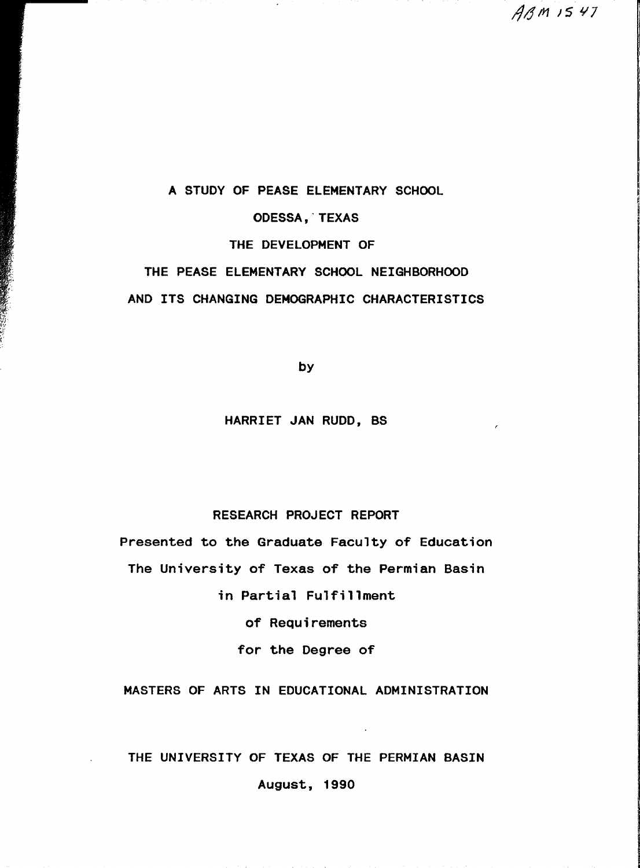*/^/^m )S ¥7*

**A STUDY OF PEASE ELEMENTARY SCHOOL**

**ODESSA, TEXAS**

**THE DEVELOPMENT OF**

**THE PEASE ELEMENTARY SCHOOL NEIGHBORHOOD AND ITS CHANGING DEMOGRAPHIC CHARACTERISTICS**

**by**

### **HARRIET JAN RUDD, BS**

### **RESEARCH PROJECT REPORT**

**Presented to the Graduate Faculty of Education The University of Texas of the Permian Basin in Partial Fulfillment**

**of Requirements**

**for the Degree of**

**MASTERS OF ARTS IN EDUCATIONAL ADMINISTRATION**

## **THE UNIVERSITY OF TEXAS OF THE PERMIAN BASIN**

**August, 1990**